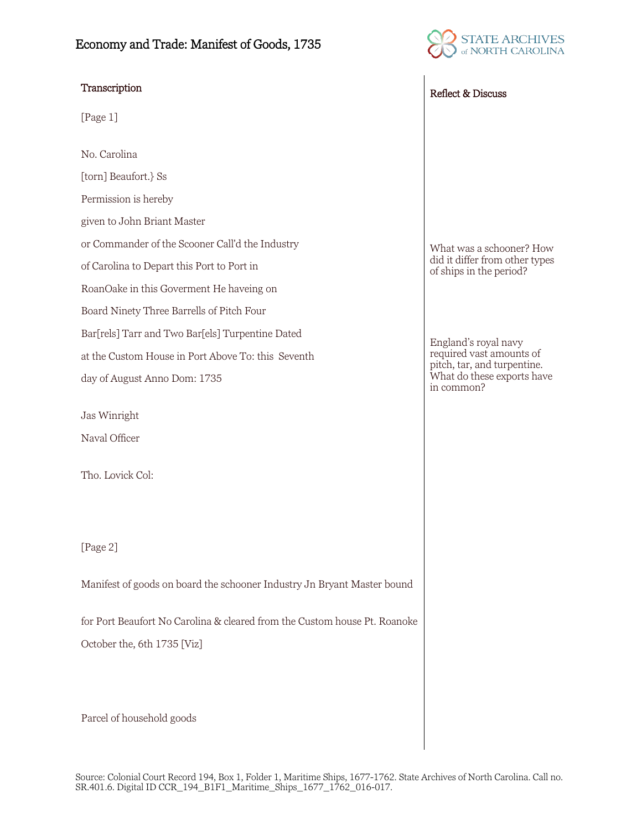## Economy and Trade: Manifest of Goods, 1735



## Transcription Reflect & Discuss

[Page 1]

No. Carolina [torn] Beaufort.} Ss Permission is hereby given to John Briant Master or Commander of the Scooner Call'd the Industry of Carolina to Depart this Port to Port in RoanOake in this Goverment He haveing on Board Ninety Three Barrells of Pitch Four Bar[rels] Tarr and Two Bar[els] Turpentine Dated at the Custom House in Port Above To: this Seventh day of August Anno Dom: 1735

Jas Winright Naval Officer

Tho. Lovick Col:

[Page 2]

Manifest of goods on board the schooner Industry Jn Bryant Master bound

for Port Beaufort No Carolina & cleared from the Custom house Pt. Roanoke October the, 6th 1735 [Viz]

Parcel of household goods

What was a schooner? How did it differ from other types of ships in the period?

England's royal navy required vast amounts of pitch, tar, and turpentine. What do these exports have in common?